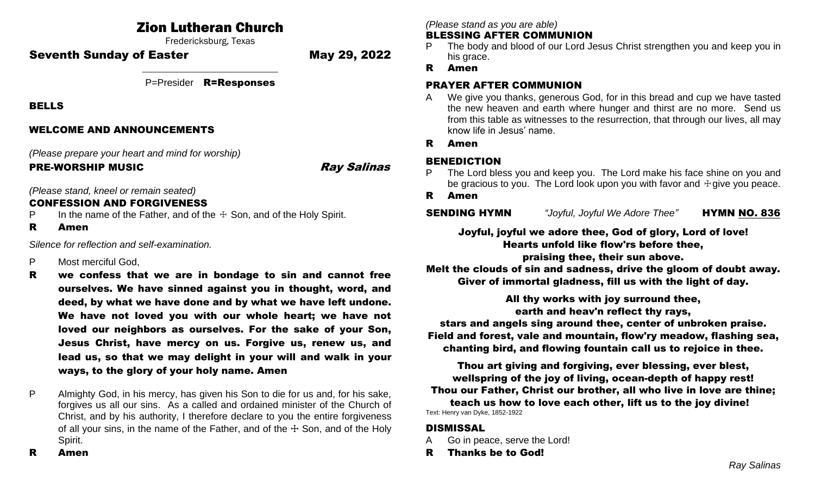# Zion Lutheran Church

Fredericksburg, Texas

Seventh Sunday of Easter May 29, 2022

\_\_\_\_\_\_\_\_\_\_\_\_\_\_\_\_\_\_\_\_\_\_\_\_\_\_\_\_ P=Presider R=Responses

BELLS

### WELCOME AND ANNOUNCEMENTS

*(Please prepare your heart and mind for worship)*

PRE-WORSHIP MUSIC **Ray Salings** 

*(Please stand, kneel or remain seated)*

## CONFESSION AND FORGIVENESS

- P In the name of the Father, and of the  $\pm$  Son, and of the Holy Spirit.
- R Amen

*Silence for reflection and self-examination.*

- P Most merciful God,
- R we confess that we are in bondage to sin and cannot free ourselves. We have sinned against you in thought, word, and deed, by what we have done and by what we have left undone. We have not loved you with our whole heart; we have not loved our neighbors as ourselves. For the sake of your Son, Jesus Christ, have mercy on us. Forgive us, renew us, and lead us, so that we may delight in your will and walk in your ways, to the glory of your holy name. Amen
- P Almighty God, in his mercy, has given his Son to die for us and, for his sake, forgives us all our sins. As a called and ordained minister of the Church of Christ, and by his authority, I therefore declare to you the entire forgiveness of all your sins, in the name of the Father, and of the  $\pm$  Son, and of the Holy Spirit.

*(Please stand as you are able)*

#### BLESSING AFTER COMMUNION

- The body and blood of our Lord Jesus Christ strengthen you and keep you in his grace.
- R Amen

## PRAYER AFTER COMMUNION

- A We give you thanks, generous God, for in this bread and cup we have tasted the new heaven and earth where hunger and thirst are no more. Send us from this table as witnesses to the resurrection, that through our lives, all may know life in Jesus' name.
- R Amen

## BENEDICTION

- The Lord bless you and keep you. The Lord make his face shine on you and be gracious to you. The Lord look upon you with favor and  $\dagger$  give you peace.
- R Amen

**SENDING HYMN** *"Joyful, Joyful We Adore Thee"* **HYMN NO. 836** 

Joyful, joyful we adore thee, God of glory, Lord of love! Hearts unfold like flow'rs before thee,

praising thee, their sun above.

Melt the clouds of sin and sadness, drive the gloom of doubt away. Giver of immortal gladness, fill us with the light of day.

All thy works with joy surround thee, earth and heav'n reflect thy rays, stars and angels sing around thee, center of unbroken praise. Field and forest, vale and mountain, flow'ry meadow, flashing sea, chanting bird, and flowing fountain call us to rejoice in thee.

Thou art giving and forgiving, ever blessing, ever blest, wellspring of the joy of living, ocean-depth of happy rest! Thou our Father, Christ our brother, all who live in love are thine; teach us how to love each other, lift us to the joy divine! Text: Henry van Dyke, 1852-1922

#### DISMISSAL

- A Go in peace, serve the Lord!
- R Thanks be to God!

R Amen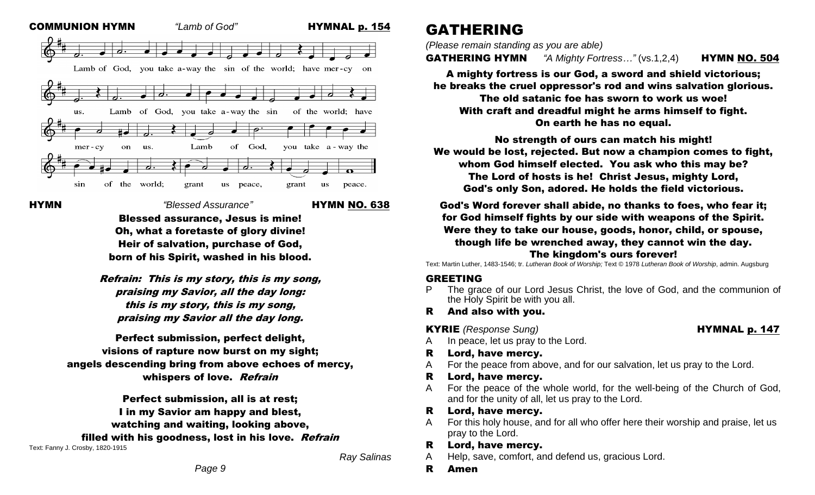

HYMN*"Blessed Assurance"* HYMN NO. 638

Blessed assurance, Jesus is mine! Oh, what a foretaste of glory divine! Heir of salvation, purchase of God, born of his Spirit, washed in his blood.

Refrain: This is my story, this is my song, praising my Savior, all the day long: this is my story, this is my song, praising my Savior all the day long.

Perfect submission, perfect delight, visions of rapture now burst on my sight; angels descending bring from above echoes of mercy, whispers of love. Refrain

Perfect submission, all is at rest; I in my Savior am happy and blest, watching and waiting, looking above, filled with his goodness, lost in his love. Refrain Text: Fanny J. Crosby, 1820-1915

*Ray Salinas*

# GATHERING

*(Please remain standing as you are able)*

GATHERING HYMN *"A Mighty Fortress…"* (vs.1,2,4) HYMN NO. 504

A mighty fortress is our God, a sword and shield victorious; he breaks the cruel oppressor's rod and wins salvation glorious.

The old satanic foe has sworn to work us woe! With craft and dreadful might he arms himself to fight. On earth he has no equal.

No strength of ours can match his might! We would be lost, rejected. But now a champion comes to fight, whom God himself elected. You ask who this may be? The Lord of hosts is he! Christ Jesus, mighty Lord, God's only Son, adored. He holds the field victorious.

God's Word forever shall abide, no thanks to foes, who fear it; for God himself fights by our side with weapons of the Spirit. Were they to take our house, goods, honor, child, or spouse, though life be wrenched away, they cannot win the day.

#### The kingdom's ours forever!

Text: Martin Luther, 1483-1546; tr. *Lutheran Book of Worship;* Text © 1978 *Lutheran Book of Worship*, admin. Augsburg

#### GREETING

The grace of our Lord Jesus Christ, the love of God, and the communion of the Holy Spirit be with you all.

R And also with you.

**KYRIE** *(Response Sung)* **HYMNAL p. 147** 

- A In peace, let us pray to the Lord.
- R Lord, have mercy.
- A For the peace from above, and for our salvation, let us pray to the Lord.
- R Lord, have mercy.
- A For the peace of the whole world, for the well-being of the Church of God, and for the unity of all, let us pray to the Lord.

#### R Lord, have mercy.

A For this holy house, and for all who offer here their worship and praise, let us pray to the Lord.

#### R Lord, have mercy.

- A Help, save, comfort, and defend us, gracious Lord.
- R Amen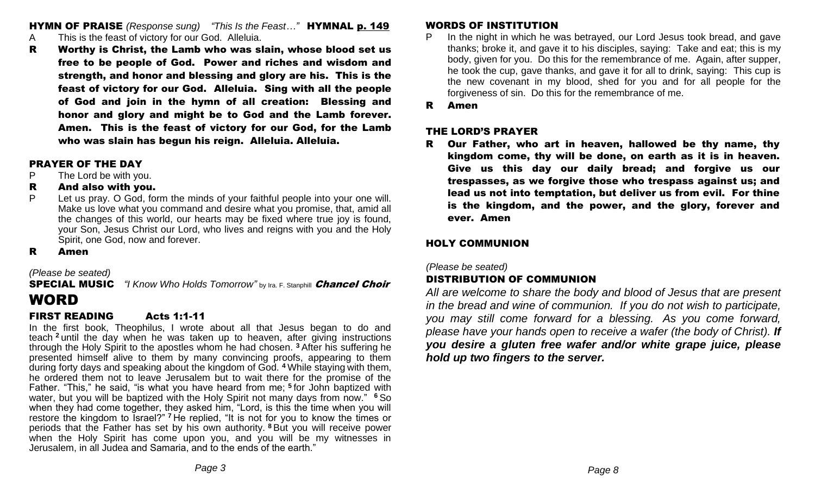HYMN OF PRAISE *(Response sung) "This Is the Feast…"* HYMNAL p. 149

- A This is the feast of victory for our God. Alleluia.
- R Worthy is Christ, the Lamb who was slain, whose blood set us free to be people of God. Power and riches and wisdom and strength, and honor and blessing and glory are his. This is the feast of victory for our God. Alleluia. Sing with all the people of God and join in the hymn of all creation: Blessing and honor and glory and might be to God and the Lamb forever. Amen. This is the feast of victory for our God, for the Lamb who was slain has begun his reign. Alleluia. Alleluia.

#### PRAYER OF THE DAY

- P The Lord be with you.
- R And also with you.
- P Let us pray. O God, form the minds of your faithful people into your one will. Make us love what you command and desire what you promise, that, amid all the changes of this world, our hearts may be fixed where true joy is found, your Son, Jesus Christ our Lord, who lives and reigns with you and the Holy Spirit, one God, now and forever.
- R Amen

*(Please be seated)*

**SPECIAL MUSIC** *"I Know Who Holds Tomorrow"* by Ira. F. Stanphill **Chancel Choir** 

# WORD

#### FIRST READING Acts 1:1-11

In the first book, Theophilus, I wrote about all that Jesus began to do and teach **<sup>2</sup>** until the day when he was taken up to heaven, after giving instructions through the Holy Spirit to the apostles whom he had chosen. **<sup>3</sup>** After his suffering he presented himself alive to them by many convincing proofs, appearing to them during forty days and speaking about the kingdom of God. **<sup>4</sup>** While staying with them, he ordered them not to leave Jerusalem but to wait there for the promise of the Father. "This," he said, "is what you have heard from me; **<sup>5</sup>** for John baptized with water, but you will be baptized with the Holy Spirit not many days from now." **<sup>6</sup>** So when they had come together, they asked him, "Lord, is this the time when you will restore the kingdom to Israel?" **<sup>7</sup>** He replied, "It is not for you to know the times or periods that the Father has set by his own authority. **<sup>8</sup>** But you will receive power when the Holy Spirit has come upon you, and you will be my witnesses in Jerusalem, in all Judea and Samaria, and to the ends of the earth."

#### WORDS OF INSTITUTION

- P In the night in which he was betrayed, our Lord Jesus took bread, and gave thanks; broke it, and gave it to his disciples, saying: Take and eat; this is my body, given for you. Do this for the remembrance of me. Again, after supper, he took the cup, gave thanks, and gave it for all to drink, saying: This cup is the new covenant in my blood, shed for you and for all people for the forgiveness of sin. Do this for the remembrance of me.
- R Amen

#### THE LORD'S PRAYER

R Our Father, who art in heaven, hallowed be thy name, thy kingdom come, thy will be done, on earth as it is in heaven. Give us this day our daily bread; and forgive us our trespasses, as we forgive those who trespass against us; and lead us not into temptation, but deliver us from evil. For thine is the kingdom, and the power, and the glory, forever and ever. Amen

### HOLY COMMUNION

*(Please be seated)*

# DISTRIBUTION OF COMMUNION

*All are welcome to share the body and blood of Jesus that are present in the bread and wine of communion. If you do not wish to participate, you may still come forward for a blessing. As you come forward, please have your hands open to receive a wafer (the body of Christ). If you desire a gluten free wafer and/or white grape juice, please hold up two fingers to the server.*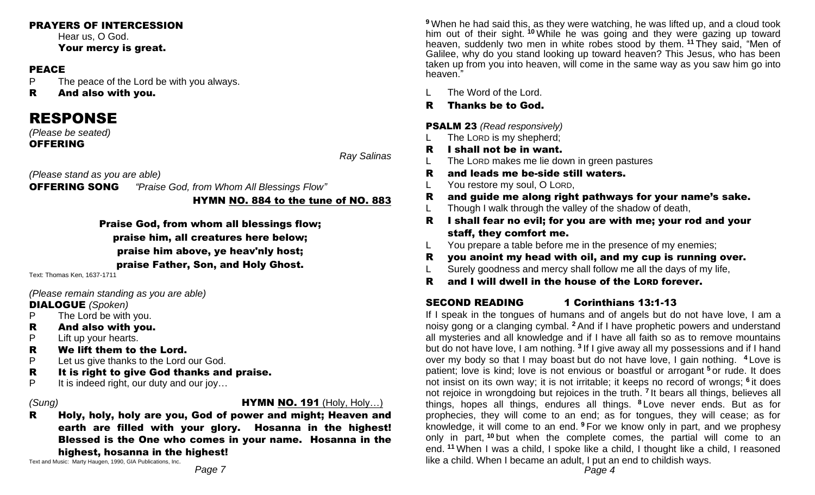#### PRAYERS OF INTERCESSION

Hear us, O God. Your mercy is great.

#### PEACE

P The peace of the Lord be with you always.

R And also with you.

# RESPONSE

*(Please be seated)*  **OFFERING** 

*Ray Salinas*

*(Please stand as you are able)* 

OFFERING SONG *"Praise God, from Whom All Blessings Flow"*

HYMN NO. 884 to the tune of NO. 883

Praise God, from whom all blessings flow; praise him, all creatures here below; praise him above, ye heav'nly host; praise Father, Son, and Holy Ghost.

Text: Thomas Ken, 1637-1711

*(Please remain standing as you are able)* 

#### DIALOGUE *(Spoken)*

- P The Lord be with you.
- R And also with you.
- P Lift up your hearts.
- R We lift them to the Lord.
- P Let us give thanks to the Lord our God.
- R It is right to give God thanks and praise.
- P It is indeed right, our duty and our joy...

*(Sung)* HYMN NO. 191 (Holy, Holy…)

R Holy, holy, holy are you, God of power and might; Heaven and earth are filled with your glory. Hosanna in the highest! Blessed is the One who comes in your name. Hosanna in the highest, hosanna in the highest!

Text and Music: Marty Haugen, 1990, GIA Publications, Inc.

**<sup>9</sup>** When he had said this, as they were watching, he was lifted up, and a cloud took him out of their sight. **<sup>10</sup>** While he was going and they were gazing up toward heaven, suddenly two men in white robes stood by them. **<sup>11</sup>** They said, "Men of Galilee, why do you stand looking up toward heaven? This Jesus, who has been taken up from you into heaven, will come in the same way as you saw him go into heaven."

- L The Word of the Lord.
- R Thanks be to God.

## PSALM 23 *(Read responsively)*

- L The LORD is my shepherd;
- R I shall not be in want.
- L The LORD makes me lie down in green pastures
- R and leads me be-side still waters.
- L You restore my soul, O LORD,
- R and guide me along right pathways for your name's sake.
- L Though I walk through the valley of the shadow of death,
- R I shall fear no evil; for you are with me; your rod and your staff, they comfort me.
- L You prepare a table before me in the presence of my enemies;
- R you anoint my head with oil, and my cup is running over.
- L Surely goodness and mercy shall follow me all the days of my life,
- R and I will dwell in the house of the LORD forever.

# SECOND READING 1 Corinthians 13:1-13

If I speak in the tongues of humans and of angels but do not have love, I am a noisy gong or a clanging cymbal. **<sup>2</sup>** And if I have prophetic powers and understand all mysteries and all knowledge and if I have all faith so as to remove mountains but do not have love, I am nothing. <sup>3</sup> If I give away all my possessions and if I hand over my body so that I may boast but do not have love, I gain nothing. **<sup>4</sup>** Love is patient; love is kind; love is not envious or boastful or arrogant **<sup>5</sup>** or rude. It does not insist on its own way; it is not irritable; it keeps no record of wrongs; **<sup>6</sup>** it does not rejoice in wrongdoing but rejoices in the truth. **<sup>7</sup>** It bears all things, believes all things, hopes all things, endures all things. **<sup>8</sup>** Love never ends. But as for prophecies, they will come to an end; as for tongues, they will cease; as for knowledge, it will come to an end. **<sup>9</sup>** For we know only in part, and we prophesy only in part, **<sup>10</sup>** but when the complete comes, the partial will come to an end. **<sup>11</sup>** When I was a child, I spoke like a child, I thought like a child, I reasoned like a child. When I became an adult, I put an end to childish ways.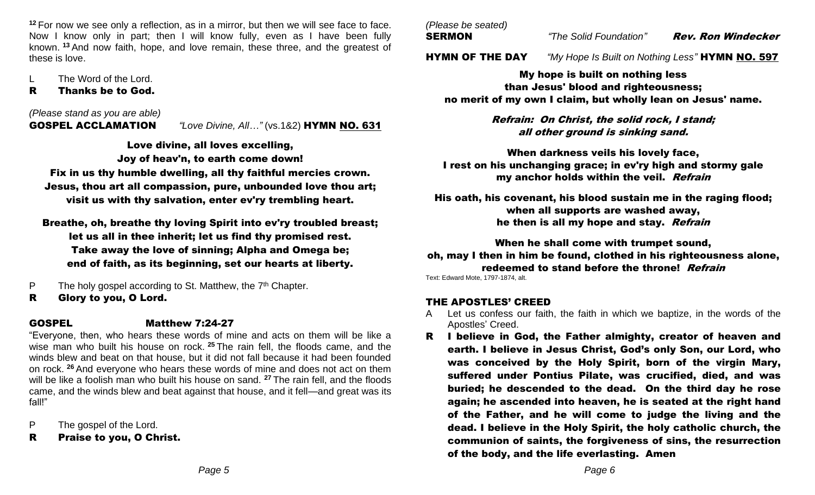**<sup>12</sup>** For now we see only a reflection, as in a mirror, but then we will see face to face. Now I know only in part; then I will know fully, even as I have been fully known. **<sup>13</sup>** And now faith, hope, and love remain, these three, and the greatest of these is love.

The Word of the Lord.

#### R Thanks be to God.

### *(Please stand as you are able)*

GOSPEL ACCLAMATION *"Love Divine, All…"* (vs.1&2) HYMN NO. 631

Love divine, all loves excelling,

Joy of heav'n, to earth come down!

Fix in us thy humble dwelling, all thy faithful mercies crown. Jesus, thou art all compassion, pure, unbounded love thou art; visit us with thy salvation, enter ev'ry trembling heart.

Breathe, oh, breathe thy loving Spirit into ev'ry troubled breast; let us all in thee inherit; let us find thy promised rest. Take away the love of sinning; Alpha and Omega be; end of faith, as its beginning, set our hearts at liberty.

P The holy gospel according to St. Matthew, the  $7<sup>th</sup>$  Chapter.

R Glory to you, O Lord.

# GOSPEL Matthew 7:24-27

"Everyone, then, who hears these words of mine and acts on them will be like a wise man who built his house on rock. **<sup>25</sup>** The rain fell, the floods came, and the winds blew and beat on that house, but it did not fall because it had been founded on rock. **<sup>26</sup>** And everyone who hears these words of mine and does not act on them will be like a foolish man who built his house on sand. **<sup>27</sup>** The rain fell, and the floods came, and the winds blew and beat against that house, and it fell—and great was its fall!"

P The gospel of the Lord.

R Praise to you, O Christ.

*(Please be seated)*

SERMON *"The Solid Foundation"* Rev. Ron Windecker

HYMN OF THE DAY *"My Hope Is Built on Nothing Less"* HYMN NO. 597

My hope is built on nothing less than Jesus' blood and righteousness; no merit of my own I claim, but wholly lean on Jesus' name.

> Refrain: On Christ, the solid rock, I stand; all other ground is sinking sand.

When darkness veils his lovely face, I rest on his unchanging grace; in ev'ry high and stormy gale my anchor holds within the veil. Refrain

His oath, his covenant, his blood sustain me in the raging flood; when all supports are washed away, he then is all my hope and stay. Refrain

When he shall come with trumpet sound,

oh, may I then in him be found, clothed in his righteousness alone, redeemed to stand before the throne! Refrain

Text: Edward Mote, 1797-1874, alt.

# THE APOSTLES' CREED

- A Let us confess our faith, the faith in which we baptize, in the words of the Apostles' Creed.
- R I believe in God, the Father almighty, creator of heaven and earth. I believe in Jesus Christ, God's only Son, our Lord, who was conceived by the Holy Spirit, born of the virgin Mary, suffered under Pontius Pilate, was crucified, died, and was buried; he descended to the dead. On the third day he rose again; he ascended into heaven, he is seated at the right hand of the Father, and he will come to judge the living and the dead. I believe in the Holy Spirit, the holy catholic church, the communion of saints, the forgiveness of sins, the resurrection of the body, and the life everlasting. Amen